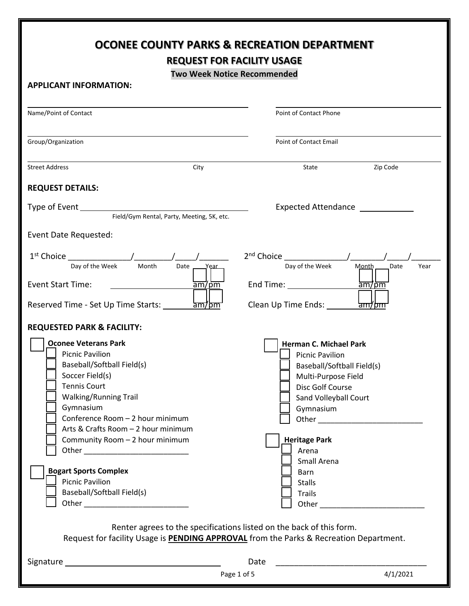|                                                                                                                                                                                                                                                                                          | <b>OCONEE COUNTY PARKS &amp; RECREATION DEPARTMENT</b><br><b>REQUEST FOR FACILITY USAGE</b>                                                                                                                                                                                                                                                                                    |  |  |  |  |  |
|------------------------------------------------------------------------------------------------------------------------------------------------------------------------------------------------------------------------------------------------------------------------------------------|--------------------------------------------------------------------------------------------------------------------------------------------------------------------------------------------------------------------------------------------------------------------------------------------------------------------------------------------------------------------------------|--|--|--|--|--|
| <b>APPLICANT INFORMATION:</b>                                                                                                                                                                                                                                                            | <b>Two Week Notice Recommended</b>                                                                                                                                                                                                                                                                                                                                             |  |  |  |  |  |
| Name/Point of Contact                                                                                                                                                                                                                                                                    | Point of Contact Phone                                                                                                                                                                                                                                                                                                                                                         |  |  |  |  |  |
| Group/Organization                                                                                                                                                                                                                                                                       | <b>Point of Contact Email</b>                                                                                                                                                                                                                                                                                                                                                  |  |  |  |  |  |
| <b>Street Address</b><br>City                                                                                                                                                                                                                                                            | State<br>Zip Code                                                                                                                                                                                                                                                                                                                                                              |  |  |  |  |  |
| <b>REQUEST DETAILS:</b>                                                                                                                                                                                                                                                                  |                                                                                                                                                                                                                                                                                                                                                                                |  |  |  |  |  |
| Expected Attendance<br>Field/Gym Rental, Party, Meeting, 5K, etc.                                                                                                                                                                                                                        |                                                                                                                                                                                                                                                                                                                                                                                |  |  |  |  |  |
| Event Date Requested:                                                                                                                                                                                                                                                                    |                                                                                                                                                                                                                                                                                                                                                                                |  |  |  |  |  |
| Day of the Week<br>Month<br>Date Year<br><b>Event Start Time:</b><br>$\frac{1}{2}$ am/pm<br>$\frac{1}{2}$ am/bm<br>Reserved Time - Set Up Time Starts:                                                                                                                                   | $2nd$ Choice $\qquad \qquad /$<br>Day of the Week<br>Month<br>Date<br>Year<br>End Time: The Contract of the Contract of the Contract of the Contract of the Contract of the Contract of the Contract of the Contract of the Contract of the Contract of the Contract of the Contract of the Contract of the<br>$\frac{1}{2}$ am/pm<br>Clean Up Time Ends:<br><del>'am/bm</del> |  |  |  |  |  |
| <b>REQUESTED PARK &amp; FACILITY:</b>                                                                                                                                                                                                                                                    |                                                                                                                                                                                                                                                                                                                                                                                |  |  |  |  |  |
| <b>Oconee Veterans Park</b><br><b>Picnic Pavilion</b><br>Baseball/Softball Field(s)<br>Soccer Field(s)<br><b>Tennis Court</b><br><b>Walking/Running Trail</b><br>Gymnasium<br>Conference Room - 2 hour minimum<br>Arts & Crafts Room - 2 hour minimum<br>Community Room - 2 hour minimum | <b>Herman C. Michael Park</b><br><b>Picnic Pavilion</b><br>Baseball/Softball Field(s)<br>Multi-Purpose Field<br>Disc Golf Course<br>Sand Volleyball Court<br>Gymnasium<br><b>Heritage Park</b><br>Arena<br>Small Arena                                                                                                                                                         |  |  |  |  |  |
| <b>Bogart Sports Complex</b><br><b>Picnic Pavilion</b><br>Baseball/Softball Field(s)                                                                                                                                                                                                     | Barn<br><b>Stalls</b><br><b>Trails</b><br>Renter agrees to the specifications listed on the back of this form.<br>Request for facility Usage is <b>PENDING APPROVAL</b> from the Parks & Recreation Department.                                                                                                                                                                |  |  |  |  |  |
|                                                                                                                                                                                                                                                                                          | Date                                                                                                                                                                                                                                                                                                                                                                           |  |  |  |  |  |
|                                                                                                                                                                                                                                                                                          | 4/1/2021<br>Page 1 of 5                                                                                                                                                                                                                                                                                                                                                        |  |  |  |  |  |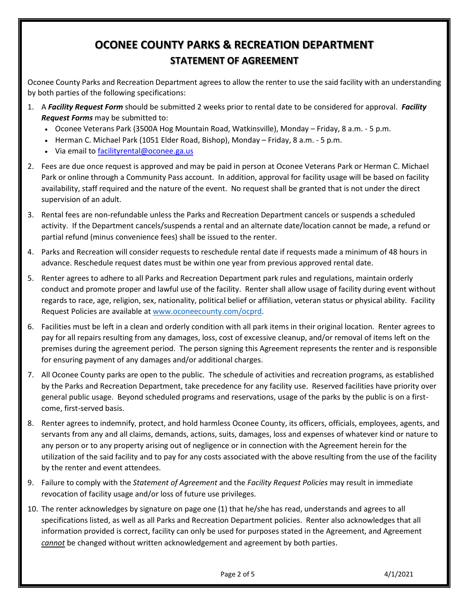## **OCONEE COUNTY PARKS & RECREATION DEPARTMENT STATEMENT OF AGREEMENT**

Oconee County Parks and Recreation Department agrees to allow the renter to use the said facility with an understanding by both parties of the following specifications:

- 1. A *Facility Request Form* should be submitted 2 weeks prior to rental date to be considered for approval. *Facility Request Forms* may be submitted to:
	- Oconee Veterans Park (3500A Hog Mountain Road, Watkinsville), Monday Friday, 8 a.m. 5 p.m.
	- Herman C. Michael Park (1051 Elder Road, Bishop), Monday Friday, 8 a.m. 5 p.m.
	- Via email t[o facilityrental@oconee.ga.us](mailto:facilityrental@oconee.ga.us)
- 2. Fees are due once request is approved and may be paid in person at Oconee Veterans Park or Herman C. Michael Park or online through a Community Pass account. In addition, approval for facility usage will be based on facility availability, staff required and the nature of the event. No request shall be granted that is not under the direct supervision of an adult.
- 3. Rental fees are non-refundable unless the Parks and Recreation Department cancels or suspends a scheduled activity. If the Department cancels/suspends a rental and an alternate date/location cannot be made, a refund or partial refund (minus convenience fees) shall be issued to the renter.
- 4. Parks and Recreation will consider requests to reschedule rental date if requests made a minimum of 48 hours in advance. Reschedule request dates must be within one year from previous approved rental date.
- 5. Renter agrees to adhere to all Parks and Recreation Department park rules and regulations, maintain orderly conduct and promote proper and lawful use of the facility. Renter shall allow usage of facility during event without regards to race, age, religion, sex, nationality, political belief or affiliation, veteran status or physical ability. Facility Request Policies are available a[t www.oconeecounty.com/ocprd.](http://www.oconeecounty.com/ocprd)
- 6. Facilities must be left in a clean and orderly condition with all park items in their original location. Renter agrees to pay for all repairs resulting from any damages, loss, cost of excessive cleanup, and/or removal of items left on the premises during the agreement period. The person signing this Agreement represents the renter and is responsible for ensuring payment of any damages and/or additional charges.
- 7. All Oconee County parks are open to the public. The schedule of activities and recreation programs, as established by the Parks and Recreation Department, take precedence for any facility use. Reserved facilities have priority over general public usage. Beyond scheduled programs and reservations, usage of the parks by the public is on a firstcome, first-served basis.
- 8. Renter agrees to indemnify, protect, and hold harmless Oconee County, its officers, officials, employees, agents, and servants from any and all claims, demands, actions, suits, damages, loss and expenses of whatever kind or nature to any person or to any property arising out of negligence or in connection with the Agreement herein for the utilization of the said facility and to pay for any costs associated with the above resulting from the use of the facility by the renter and event attendees.
- 9. Failure to comply with the *Statement of Agreement* and the *Facility Request Policies* may result in immediate revocation of facility usage and/or loss of future use privileges.
- 10. The renter acknowledges by signature on page one (1) that he/she has read, understands and agrees to all specifications listed, as well as all Parks and Recreation Department policies. Renter also acknowledges that all information provided is correct, facility can only be used for purposes stated in the Agreement, and Agreement *cannot* be changed without written acknowledgement and agreement by both parties.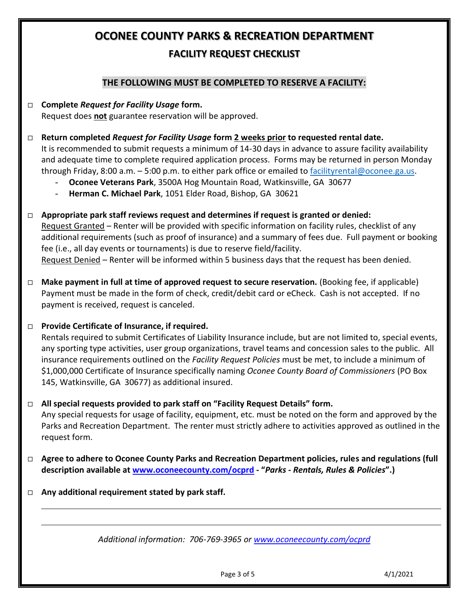## **OCONEE COUNTY PARKS & RECREATION DEPARTMENT FACILITY REQUEST CHECKLIST**

## **THE FOLLOWING MUST BE COMPLETED TO RESERVE A FACILITY:**

- **Complete** *Request for Facility Usage* **form.**  Request does **not** guarantee reservation will be approved.
- **Return completed** *Request for Facility Usage* **form 2 weeks prior to requested rental date.** It is recommended to submit requests a minimum of 14-30 days in advance to assure facility availability and adequate time to complete required application process. Forms may be returned in person Monday through Friday, 8:00 a.m. - 5:00 p.m. to either park office or emailed to [facilityrental@oconee.ga.us.](mailto:facilityrental@oconee.ga.us)
	- **Oconee Veterans Park**, 3500A Hog Mountain Road, Watkinsville, GA 30677
	- **Herman C. Michael Park**, 1051 Elder Road, Bishop, GA 30621
- **Appropriate park staff reviews request and determines if request is granted or denied:** Request Granted – Renter will be provided with specific information on facility rules, checklist of any additional requirements (such as proof of insurance) and a summary of fees due. Full payment or booking fee (i.e., all day events or tournaments) is due to reserve field/facility. Request Denied – Renter will be informed within 5 business days that the request has been denied.
- □ **Make payment in full at time of approved request to secure reservation.** (Booking fee, if applicable) Payment must be made in the form of check, credit/debit card or eCheck. Cash is not accepted. If no payment is received, request is canceled.
- **Provide Certificate of Insurance, if required.**

Rentals required to submit Certificates of Liability Insurance include, but are not limited to, special events, any sporting type activities, user group organizations, travel teams and concession sales to the public. All insurance requirements outlined on the *Facility Request Policies* must be met, to include a minimum of \$1,000,000 Certificate of Insurance specifically naming *Oconee County Board of Commissioners* (PO Box 145, Watkinsville, GA 30677) as additional insured.

**All special requests provided to park staff on "Facility Request Details" form.**

Any special requests for usage of facility, equipment, etc. must be noted on the form and approved by the Parks and Recreation Department. The renter must strictly adhere to activities approved as outlined in the request form.

- **Agree to adhere to Oconee County Parks and Recreation Department policies, rules and regulations (full description available at www.oconeecounty.com/ocprd - "***Parks - Rentals, Rules & Policies***".)**
- **Any additional requirement stated by park staff.**

*Additional information: 706-769-3965 or [www.oconeecounty.com/](http://www.oconeecounty.com/)ocprd*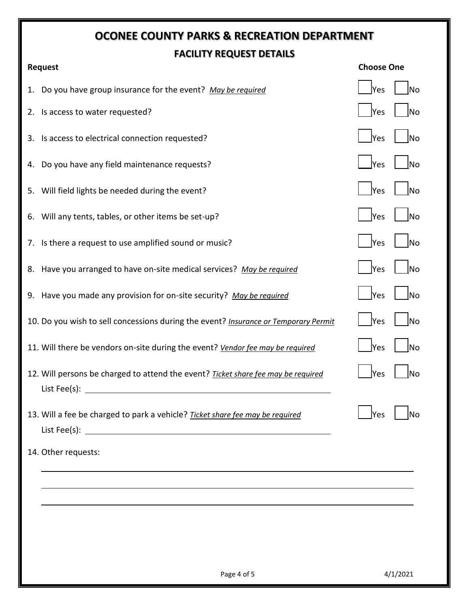## **OCONEE COUNTY PARKS & RECREATION DEPARTMENT FACILITY REQUEST DETAILS**

| <b>Request</b> |                                                                                                                            | <b>Choose One</b> |           |  |
|----------------|----------------------------------------------------------------------------------------------------------------------------|-------------------|-----------|--|
|                | 1. Do you have group insurance for the event? May be required                                                              | <b>Yes</b>        | lNo       |  |
|                | 2. Is access to water requested?                                                                                           | Yes               | <b>No</b> |  |
|                | 3. Is access to electrical connection requested?                                                                           | <b>Yes</b>        | <b>No</b> |  |
|                | 4. Do you have any field maintenance requests?                                                                             | Yes               | No        |  |
|                | 5. Will field lights be needed during the event?                                                                           | Yes               | <b>No</b> |  |
|                | 6. Will any tents, tables, or other items be set-up?                                                                       | <b>Yes</b>        | No        |  |
|                | 7. Is there a request to use amplified sound or music?                                                                     | <b>Yes</b>        | lNo       |  |
|                | 8. Have you arranged to have on-site medical services? May be required                                                     | <b>Yes</b>        | lNo       |  |
|                | 9. Have you made any provision for on-site security? May be required                                                       | <b>Yes</b>        | <b>No</b> |  |
|                | 10. Do you wish to sell concessions during the event? Insurance or Temporary Permit                                        | <b>Yes</b>        | lNo       |  |
|                | 11. Will there be vendors on-site during the event? Vendor fee may be required                                             | <b>Yes</b>        | lNo       |  |
|                | 12. Will persons be charged to attend the event? Ticket share fee may be required<br>List Fee(s): $\overline{\phantom{a}}$ | <b>Yes</b>        | lNo       |  |
|                | 13. Will a fee be charged to park a vehicle? Ticket share fee may be required                                              | Yes               | Νo        |  |
|                | 14. Other requests:                                                                                                        |                   |           |  |
|                |                                                                                                                            |                   |           |  |
|                |                                                                                                                            |                   |           |  |
|                |                                                                                                                            |                   |           |  |
|                |                                                                                                                            |                   |           |  |
|                |                                                                                                                            |                   |           |  |